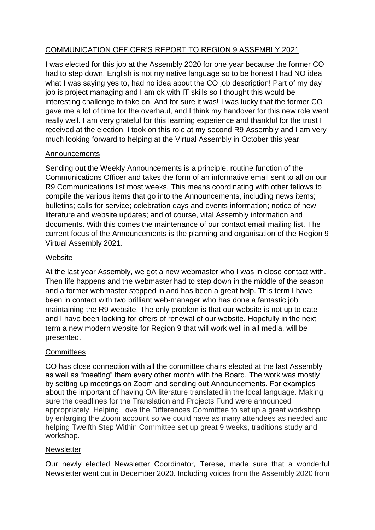# COMMUNICATION OFFICER'S REPORT TO REGION 9 ASSEMBLY 2021

I was elected for this job at the Assembly 2020 for one year because the former CO had to step down. English is not my native language so to be honest I had NO idea what I was saying yes to, had no idea about the CO job description! Part of my day job is project managing and I am ok with IT skills so I thought this would be interesting challenge to take on. And for sure it was! I was lucky that the former CO gave me a lot of time for the overhaul, and I think my handover for this new role went really well. I am very grateful for this learning experience and thankful for the trust I received at the election. I took on this role at my second R9 Assembly and I am very much looking forward to helping at the Virtual Assembly in October this year.

# Announcements

Sending out the Weekly Announcements is a principle, routine function of the Communications Officer and takes the form of an informative email sent to all on our R9 Communications list most weeks. This means coordinating with other fellows to compile the various items that go into the Announcements, including news items; bulletins; calls for service; celebration days and events information; notice of new literature and website updates; and of course, vital Assembly information and documents. With this comes the maintenance of our contact email mailing list. The current focus of the Announcements is the planning and organisation of the Region 9 Virtual Assembly 2021.

# **Website**

At the last year Assembly, we got a new webmaster who I was in close contact with. Then life happens and the webmaster had to step down in the middle of the season and a former webmaster stepped in and has been a great help. This term I have been in contact with two brilliant web-manager who has done a fantastic job maintaining the R9 website. The only problem is that our website is not up to date and I have been looking for offers of renewal of our website. Hopefully in the next term a new modern website for Region 9 that will work well in all media, will be presented.

### **Committees**

CO has close connection with all the committee chairs elected at the last Assembly as well as "meeting" them every other month with the Board. The work was mostly by setting up meetings on Zoom and sending out Announcements. For examples about the important of having OA literature translated in the local language. Making sure the deadlines for the Translation and Projects Fund were announced appropriately. Helping Love the Differences Committee to set up a great workshop by enlarging the Zoom account so we could have as many attendees as needed and helping Twelfth Step Within Committee set up great 9 weeks, traditions study and workshop.

### **Newsletter**

Our newly elected Newsletter Coordinator, Terese, made sure that a wonderful Newsletter went out in December 2020. Including voices from the Assembly 2020 from